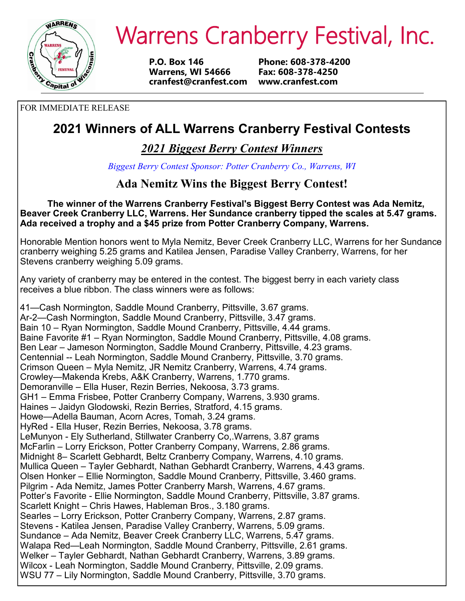

# Warrens Cranberry Festival, Inc.

**P.O. Box 146 Phone: 608-378-4200 Warrens, WI 54666 Fax: 608-378-4250 cranfest@cranfest.com www.cranfest.com**

FOR IMMEDIATE RELEASE

## **2021 Winners of ALL Warrens Cranberry Festival Contests**

*2021 Biggest Berry Contest Winners*

*Biggest Berry Contest Sponsor: Potter Cranberry Co., Warrens, WI*

## **Ada Nemitz Wins the Biggest Berry Contest!**

**The winner of the Warrens Cranberry Festival's Biggest Berry Contest was Ada Nemitz, Beaver Creek Cranberry LLC, Warrens. Her Sundance cranberry tipped the scales at 5.47 grams. Ada received a trophy and a \$45 prize from Potter Cranberry Company, Warrens.**

Honorable Mention honors went to Myla Nemitz, Bever Creek Cranberry LLC, Warrens for her Sundance cranberry weighing 5.25 grams and Katilea Jensen, Paradise Valley Cranberry, Warrens, for her Stevens cranberry weighing 5.09 grams.

Any variety of cranberry may be entered in the contest. The biggest berry in each variety class receives a blue ribbon. The class winners were as follows:

41—Cash Normington, Saddle Mound Cranberry, Pittsville, 3.67 grams. Ar-2—Cash Normington, Saddle Mound Cranberry, Pittsville, 3.47 grams. Bain 10 – Ryan Normington, Saddle Mound Cranberry, Pittsville, 4.44 grams. Baine Favorite #1 – Ryan Normington, Saddle Mound Cranberry, Pittsville, 4.08 grams. Ben Lear – Jameson Normington, Saddle Mound Cranberry, Pittsville, 4.23 grams. Centennial -- Leah Normington, Saddle Mound Cranberry, Pittsville, 3.70 grams. Crimson Queen – Myla Nemitz, JR Nemitz Cranberry, Warrens, 4.74 grams. Crowley—Makenda Krebs, A&K Cranberry, Warrens, 1.770 grams. Demoranville – Ella Huser, Rezin Berries, Nekoosa, 3.73 grams. GH1 – Emma Frisbee, Potter Cranberry Company, Warrens, 3.930 grams. Haines – Jaidyn Glodowski, Rezin Berries, Stratford, 4.15 grams. Howe—Adella Bauman, Acorn Acres, Tomah, 3.24 grams. HyRed - Ella Huser, Rezin Berries, Nekoosa, 3.78 grams. LeMunyon - Ely Sutherland, Stillwater Cranberry Co,.Warrens, 3.87 grams McFarlin – Lorry Erickson, Potter Cranberry Company, Warrens, 2.86 grams. Midnight 8– Scarlett Gebhardt, Beltz Cranberry Company, Warrens, 4.10 grams. Mullica Queen – Tayler Gebhardt, Nathan Gebhardt Cranberry, Warrens, 4.43 grams. Olsen Honker – Ellie Normington, Saddle Mound Cranberry, Pittsville, 3.460 grams. Pilgrim - Ada Nemitz, James Potter Cranberry Marsh, Warrens, 4.67 grams. Potter's Favorite - Ellie Normington, Saddle Mound Cranberry, Pittsville, 3.87 grams. Scarlett Knight – Chris Hawes, Hableman Bros., 3.180 grams. Searles – Lorry Erickson, Potter Cranberry Company, Warrens, 2.87 grams. Stevens - Katilea Jensen, Paradise Valley Cranberry, Warrens, 5.09 grams. Sundance – Ada Nemitz, Beaver Creek Cranberry LLC, Warrens, 5.47 grams. Walapa Red—Leah Normington, Saddle Mound Cranberry, Pittsville, 2.61 grams. Welker – Tayler Gebhardt, Nathan Gebhardt Cranberry, Warrens, 3.89 grams. Wilcox - Leah Normington, Saddle Mound Cranberry, Pittsville, 2.09 grams. WSU 77 – Lily Normington, Saddle Mound Cranberry, Pittsville, 3.70 grams.